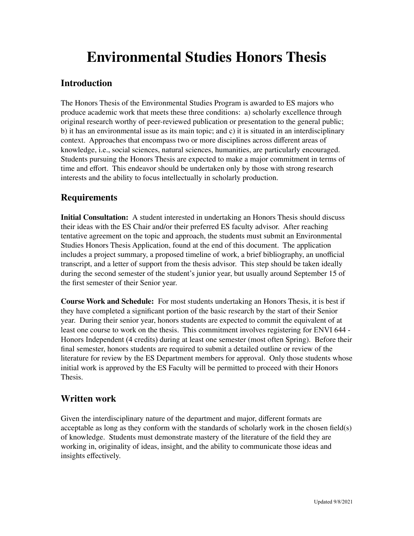# **Environmental Studies Honors Thesis**

### **Introduction**

The Honors Thesis of the Environmental Studies Program is awarded to ES majors who produce academic work that meets these three conditions: a) scholarly excellence through original research worthy of peer-reviewed publication or presentation to the general public; b) it has an environmental issue as its main topic; and c) it is situated in an interdisciplinary context. Approaches that encompass two or more disciplines across different areas of knowledge, i.e., social sciences, natural sciences, humanities, are particularly encouraged. Students pursuing the Honors Thesis are expected to make a major commitment in terms of time and effort. This endeavor should be undertaken only by those with strong research interests and the ability to focus intellectually in scholarly production.

### **Requirements**

**Initial Consultation:** A student interested in undertaking an Honors Thesis should discuss their ideas with the ES Chair and/or their preferred ES faculty advisor. After reaching tentative agreement on the topic and approach, the students must submit an Environmental Studies Honors Thesis Application, found at the end of this document. The application includes a project summary, a proposed timeline of work, a brief bibliography, an unofficial transcript, and a letter of support from the thesis advisor. This step should be taken ideally during the second semester of the student's junior year, but usually around September 15 of the first semester of their Senior year.

**Course Work and Schedule:** For most students undertaking an Honors Thesis, it is best if they have completed a significant portion of the basic research by the start of their Senior year. During their senior year, honors students are expected to commit the equivalent of at least one course to work on the thesis. This commitment involves registering for ENVI 644 - Honors Independent (4 credits) during at least one semester (most often Spring). Before their final semester, honors students are required to submit a detailed outline or review of the literature for review by the ES Department members for approval. Only those students whose initial work is approved by the ES Faculty will be permitted to proceed with their Honors Thesis.

#### **Written work**

Given the interdisciplinary nature of the department and major, different formats are acceptable as long as they conform with the standards of scholarly work in the chosen field(s) of knowledge. Students must demonstrate mastery of the literature of the field they are working in, originality of ideas, insight, and the ability to communicate those ideas and insights effectively.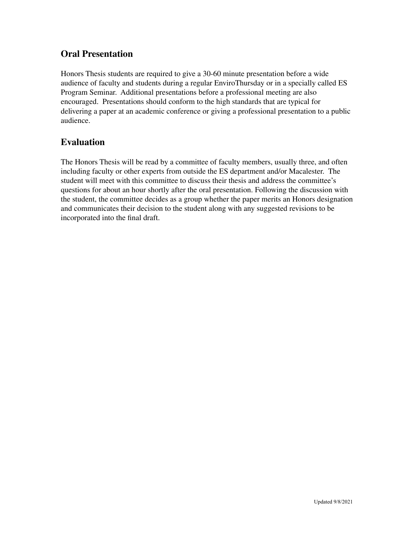#### **Oral Presentation**

Honors Thesis students are required to give a 30-60 minute presentation before a wide audience of faculty and students during a regular EnviroThursday or in a specially called ES Program Seminar. Additional presentations before a professional meeting are also encouraged. Presentations should conform to the high standards that are typical for delivering a paper at an academic conference or giving a professional presentation to a public audience.

### **Evaluation**

The Honors Thesis will be read by a committee of faculty members, usually three, and often including faculty or other experts from outside the ES department and/or Macalester. The student will meet with this committee to discuss their thesis and address the committee's questions for about an hour shortly after the oral presentation. Following the discussion with the student, the committee decides as a group whether the paper merits an Honors designation and communicates their decision to the student along with any suggested revisions to be incorporated into the final draft.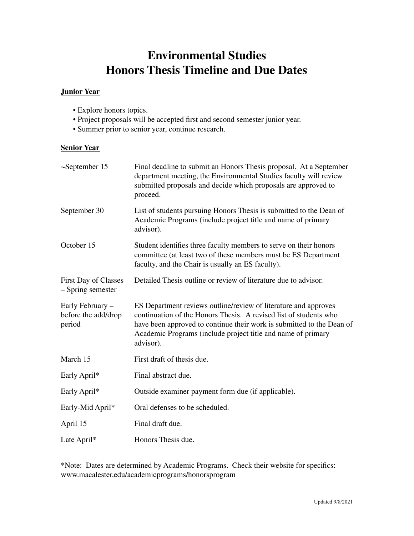# **Environmental Studies Honors Thesis Timeline and Due Dates**

#### **Junior Year**

- Explore honors topics.
- Project proposals will be accepted first and second semester junior year.
- Summer prior to senior year, continue research.

#### **Senior Year**

| $\sim$ September 15                               | Final deadline to submit an Honors Thesis proposal. At a September<br>department meeting, the Environmental Studies faculty will review<br>submitted proposals and decide which proposals are approved to<br>proceed.                                                                      |  |  |  |
|---------------------------------------------------|--------------------------------------------------------------------------------------------------------------------------------------------------------------------------------------------------------------------------------------------------------------------------------------------|--|--|--|
| September 30                                      | List of students pursuing Honors Thesis is submitted to the Dean of<br>Academic Programs (include project title and name of primary<br>advisor).                                                                                                                                           |  |  |  |
| October 15                                        | Student identifies three faculty members to serve on their honors<br>committee (at least two of these members must be ES Department<br>faculty, and the Chair is usually an ES faculty).                                                                                                   |  |  |  |
| <b>First Day of Classes</b><br>- Spring semester  | Detailed Thesis outline or review of literature due to advisor.                                                                                                                                                                                                                            |  |  |  |
| Early February -<br>before the add/drop<br>period | ES Department reviews outline/review of literature and approves<br>continuation of the Honors Thesis. A revised list of students who<br>have been approved to continue their work is submitted to the Dean of<br>Academic Programs (include project title and name of primary<br>advisor). |  |  |  |
| March 15                                          | First draft of thesis due.                                                                                                                                                                                                                                                                 |  |  |  |
| Early April*                                      | Final abstract due.                                                                                                                                                                                                                                                                        |  |  |  |
| Early April*                                      | Outside examiner payment form due (if applicable).                                                                                                                                                                                                                                         |  |  |  |
| Early-Mid April*                                  | Oral defenses to be scheduled.                                                                                                                                                                                                                                                             |  |  |  |
| April 15                                          | Final draft due.                                                                                                                                                                                                                                                                           |  |  |  |
| Late April*                                       | Honors Thesis due.                                                                                                                                                                                                                                                                         |  |  |  |

\*Note: Dates are determined by Academic Programs. Check their website for specifics: www.macalester.edu/academicprograms/honorsprogram